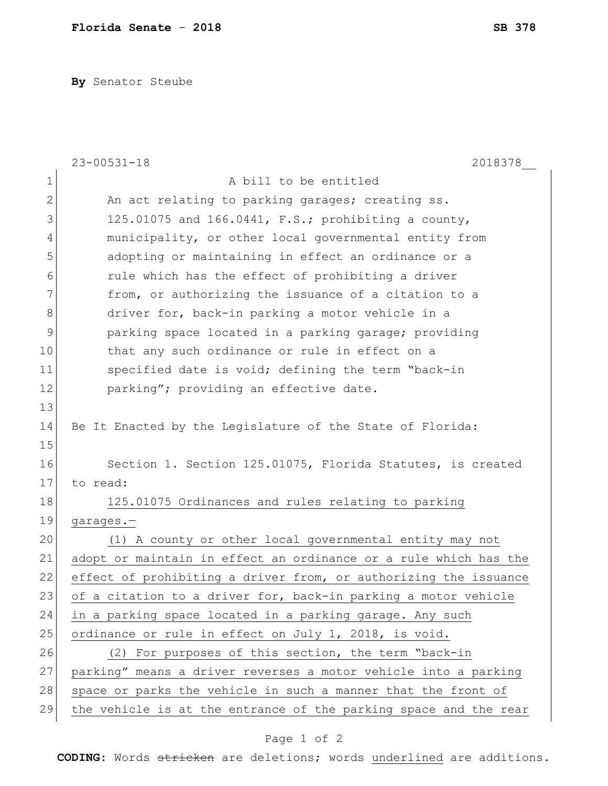**By** Senator Steube

|             | $23 - 00531 - 18$<br>2018378                                     |
|-------------|------------------------------------------------------------------|
| $\mathbf 1$ | A bill to be entitled                                            |
| 2           | An act relating to parking garages; creating ss.                 |
| 3           | 125.01075 and 166.0441, F.S.; prohibiting a county,              |
| 4           | municipality, or other local governmental entity from            |
| 5           | adopting or maintaining in effect an ordinance or a              |
| 6           | rule which has the effect of prohibiting a driver                |
| 7           | from, or authorizing the issuance of a citation to a             |
| 8           | driver for, back-in parking a motor vehicle in a                 |
| 9           | parking space located in a parking garage; providing             |
| 10          | that any such ordinance or rule in effect on a                   |
| 11          | specified date is void; defining the term "back-in               |
| 12          | parking"; providing an effective date.                           |
| 13          |                                                                  |
| 14          | Be It Enacted by the Legislature of the State of Florida:        |
| 15          |                                                                  |
| 16          | Section 1. Section 125.01075, Florida Statutes, is created       |
| 17          | to read:                                                         |
| 18          | 125.01075 Ordinances and rules relating to parking               |
| 19          | garages.-                                                        |
| 20          | (1) A county or other local governmental entity may not          |
| 21          | adopt or maintain in effect an ordinance or a rule which has the |
| 22          | effect of prohibiting a driver from, or authorizing the issuance |
| 23          | of a citation to a driver for, back-in parking a motor vehicle   |
| 24          | in a parking space located in a parking garage. Any such         |
| 25          | ordinance or rule in effect on July 1, 2018, is void.            |
| 26          | (2) For purposes of this section, the term "back-in              |
| 27          | parking" means a driver reverses a motor vehicle into a parking  |
| 28          | space or parks the vehicle in such a manner that the front of    |
| 29          | the vehicle is at the entrance of the parking space and the rear |

## Page 1 of 2

**CODING**: Words stricken are deletions; words underlined are additions.